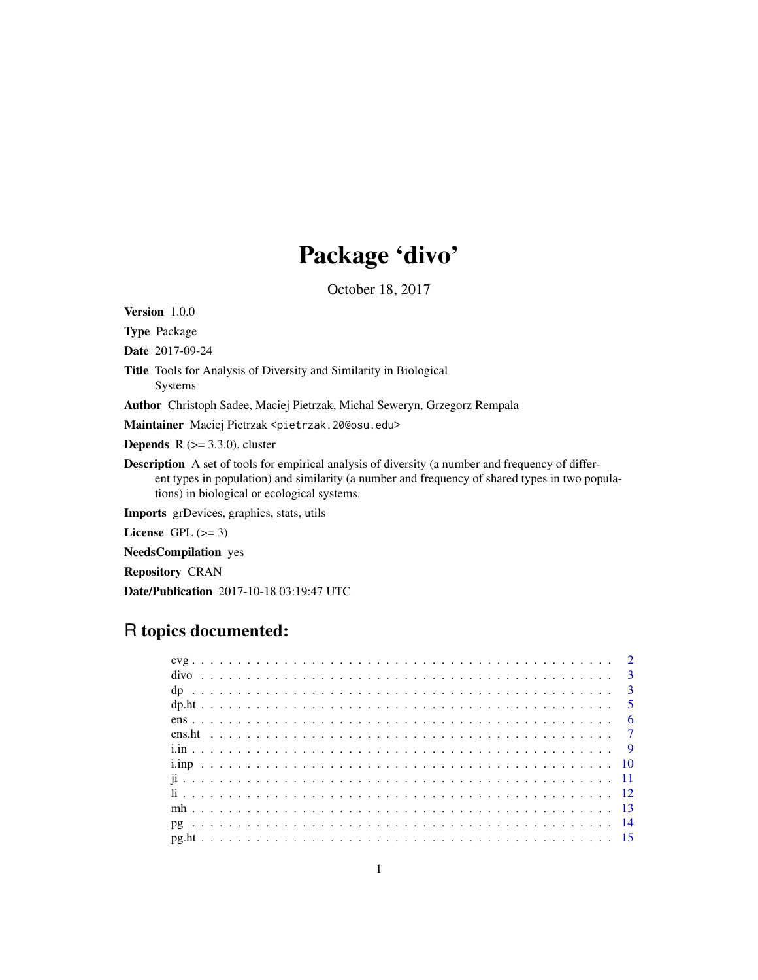## Package 'divo'

October 18, 2017

Version 1.0.0

Type Package

Date 2017-09-24

Title Tools for Analysis of Diversity and Similarity in Biological

Systems

Author Christoph Sadee, Maciej Pietrzak, Michal Seweryn, Grzegorz Rempala

Maintainer Maciej Pietrzak <pietrzak.20@osu.edu>

**Depends** R  $(>= 3.3.0)$ , cluster

Description A set of tools for empirical analysis of diversity (a number and frequency of different types in population) and similarity (a number and frequency of shared types in two populations) in biological or ecological systems.

Imports grDevices, graphics, stats, utils

License GPL  $(>= 3)$ 

NeedsCompilation yes

Repository CRAN

Date/Publication 2017-10-18 03:19:47 UTC

## R topics documented:

|  |  |  | $ens$ 6 |
|--|--|--|---------|
|  |  |  |         |
|  |  |  |         |
|  |  |  |         |
|  |  |  |         |
|  |  |  |         |
|  |  |  |         |
|  |  |  |         |
|  |  |  |         |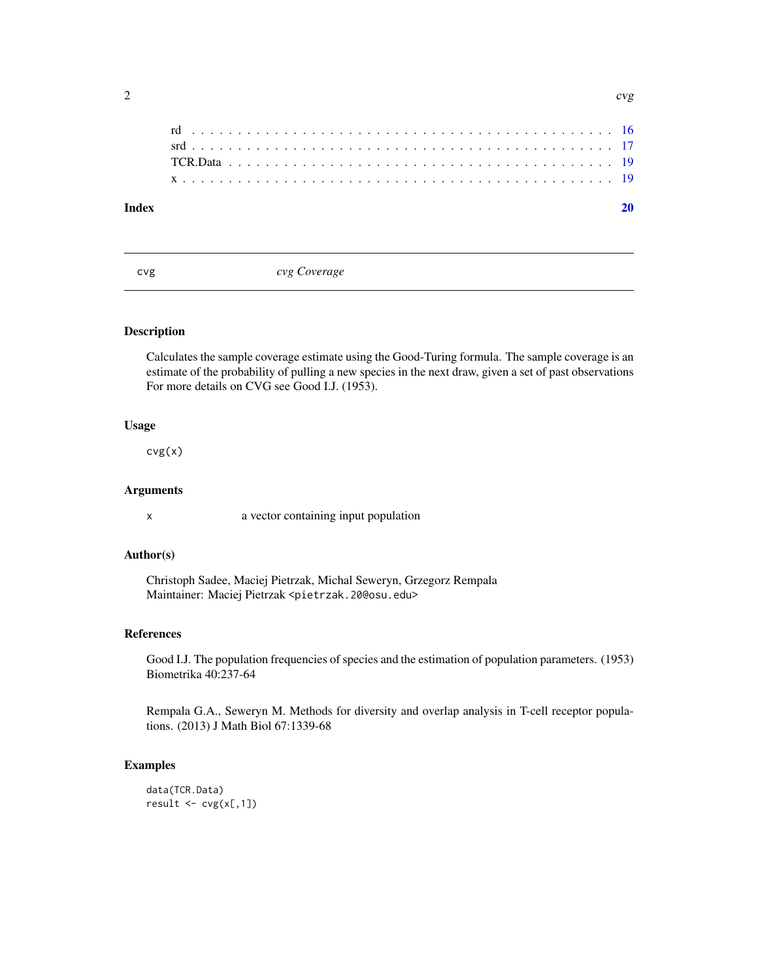<span id="page-1-0"></span>

#### $\bf 1$ ndex  $\bf 20$  $\bf 20$

<span id="page-1-1"></span>cvg *cvg Coverage*

#### Description

Calculates the sample coverage estimate using the Good-Turing formula. The sample coverage is an estimate of the probability of pulling a new species in the next draw, given a set of past observations For more details on CVG see Good I.J. (1953).

#### Usage

cvg(x)

#### Arguments

x a vector containing input population

#### Author(s)

Christoph Sadee, Maciej Pietrzak, Michal Seweryn, Grzegorz Rempala Maintainer: Maciej Pietrzak <pietrzak.20@osu.edu>

#### References

Good I.J. The population frequencies of species and the estimation of population parameters. (1953) Biometrika 40:237-64

Rempala G.A., Seweryn M. Methods for diversity and overlap analysis in T-cell receptor populations. (2013) J Math Biol 67:1339-68

#### Examples

data(TCR.Data)  $result \leftarrow cvg(x[,1])$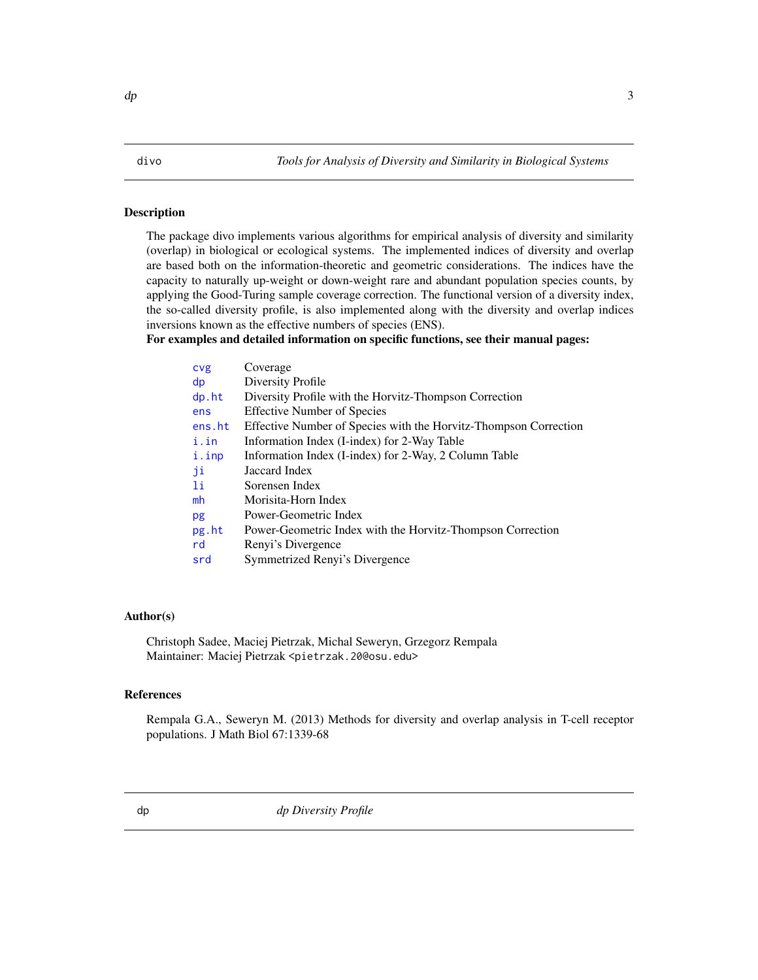<span id="page-2-0"></span>The package divo implements various algorithms for empirical analysis of diversity and similarity (overlap) in biological or ecological systems. The implemented indices of diversity and overlap are based both on the information-theoretic and geometric considerations. The indices have the capacity to naturally up-weight or down-weight rare and abundant population species counts, by applying the Good-Turing sample coverage correction. The functional version of a diversity index, the so-called diversity profile, is also implemented along with the diversity and overlap indices inversions known as the effective numbers of species (ENS).

#### For examples and detailed information on specific functions, see their manual pages:

| cvg      | Coverage                                                         |
|----------|------------------------------------------------------------------|
| dp       | Diversity Profile                                                |
| $dp.$ ht | Diversity Profile with the Horvitz-Thompson Correction           |
| ens      | <b>Effective Number of Species</b>                               |
| ens.ht   | Effective Number of Species with the Horvitz-Thompson Correction |
| i.in     | Information Index (I-index) for 2-Way Table                      |
| i.inp    | Information Index (I-index) for 2-Way, 2 Column Table            |
| ji       | Jaccard Index                                                    |
| Πi       | Sorensen Index                                                   |
| mh       | Morisita-Horn Index                                              |
| pg       | Power-Geometric Index                                            |
| pg.ht    | Power-Geometric Index with the Horvitz-Thompson Correction       |
| rd       | Renyi's Divergence                                               |
| srd      | Symmetrized Renyi's Divergence                                   |
|          |                                                                  |

#### Author(s)

Christoph Sadee, Maciej Pietrzak, Michal Seweryn, Grzegorz Rempala Maintainer: Maciej Pietrzak <pietrzak.20@osu.edu>

#### References

<span id="page-2-1"></span>Rempala G.A., Seweryn M. (2013) Methods for diversity and overlap analysis in T-cell receptor populations. J Math Biol 67:1339-68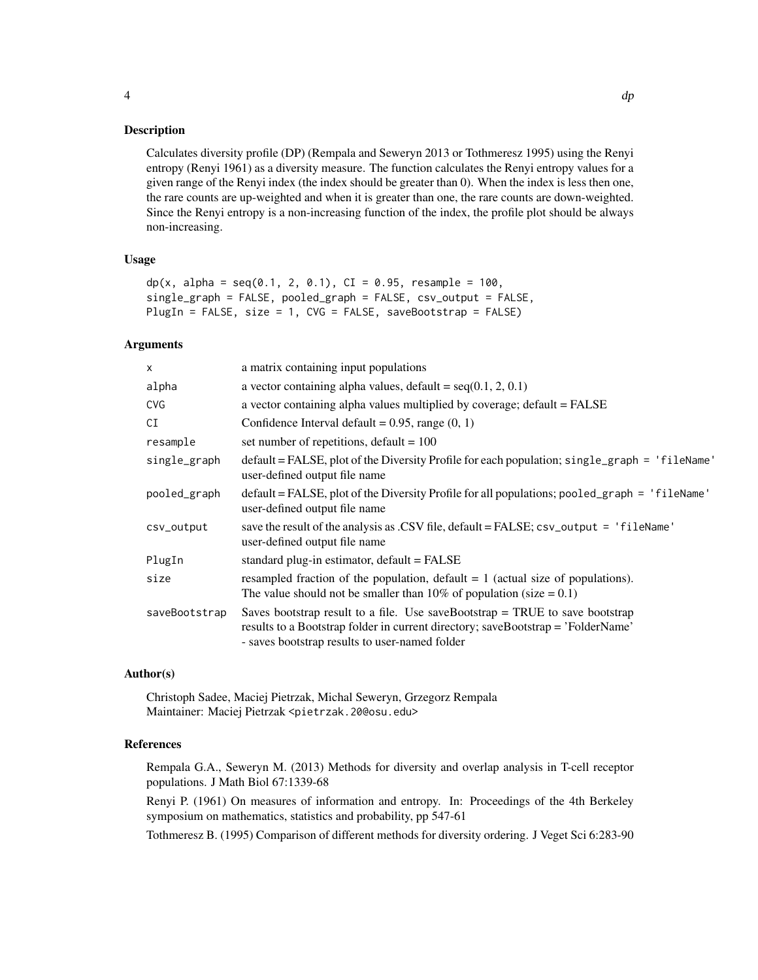Calculates diversity profile (DP) (Rempala and Seweryn 2013 or Tothmeresz 1995) using the Renyi entropy (Renyi 1961) as a diversity measure. The function calculates the Renyi entropy values for a given range of the Renyi index (the index should be greater than 0). When the index is less then one, the rare counts are up-weighted and when it is greater than one, the rare counts are down-weighted. Since the Renyi entropy is a non-increasing function of the index, the profile plot should be always non-increasing.

#### Usage

```
dp(x, alpha = seq(0.1, 2, 0.1), CI = 0.95, resample = 100,single_graph = FALSE, pooled_graph = FALSE, csv_output = FALSE,
PlugIn = FALSE, size = 1, CVG = FALSE, saveBootstrap = FALSE)
```
#### **Arguments**

| a matrix containing input populations                                                                                                                                                                                |
|----------------------------------------------------------------------------------------------------------------------------------------------------------------------------------------------------------------------|
| a vector containing alpha values, default = $seq(0.1, 2, 0.1)$                                                                                                                                                       |
| a vector containing alpha values multiplied by coverage; default = FALSE                                                                                                                                             |
| Confidence Interval default = $0.95$ , range $(0, 1)$                                                                                                                                                                |
| set number of repetitions, default = $100$                                                                                                                                                                           |
| $default = FALSE$ , plot of the Diversity Profile for each population; single_graph = 'fileName'<br>user-defined output file name                                                                                    |
| $default = FALSE, plot of the Diversity Profile for all populations; pooled-graph = 'fileName'$<br>user-defined output file name                                                                                     |
| save the result of the analysis as .CSV file, $default = FALSE$ ; $csv\_output = 'fileName'$<br>user-defined output file name                                                                                        |
| standard plug-in estimator, $default = FALSE$                                                                                                                                                                        |
| resampled fraction of the population, default $= 1$ (actual size of populations).<br>The value should not be smaller than 10% of population (size $= 0.1$ )                                                          |
| Saves bootstrap result to a file. Use saveBootstrap $=$ TRUE to save bootstrap<br>results to a Bootstrap folder in current directory; saveBootstrap = 'FolderName'<br>- saves bootstrap results to user-named folder |
|                                                                                                                                                                                                                      |

#### Author(s)

Christoph Sadee, Maciej Pietrzak, Michal Seweryn, Grzegorz Rempala Maintainer: Maciej Pietrzak <pietrzak.20@osu.edu>

#### References

Rempala G.A., Seweryn M. (2013) Methods for diversity and overlap analysis in T-cell receptor populations. J Math Biol 67:1339-68

Renyi P. (1961) On measures of information and entropy. In: Proceedings of the 4th Berkeley symposium on mathematics, statistics and probability, pp 547-61

Tothmeresz B. (1995) Comparison of different methods for diversity ordering. J Veget Sci 6:283-90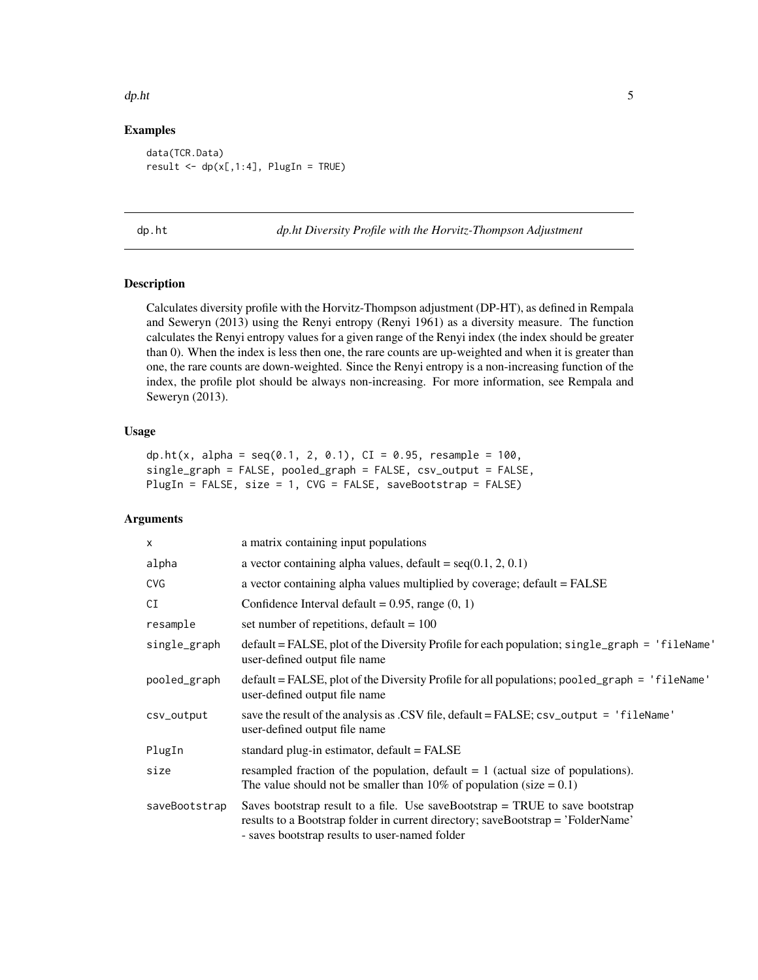#### <span id="page-4-0"></span> $dp.$ ht  $\frac{1}{2}$

#### Examples

data(TCR.Data) result  $\leq$  dp(x[,1:4], PlugIn = TRUE)

<span id="page-4-1"></span>dp.ht *dp.ht Diversity Profile with the Horvitz-Thompson Adjustment*

#### Description

Calculates diversity profile with the Horvitz-Thompson adjustment (DP-HT), as defined in Rempala and Seweryn (2013) using the Renyi entropy (Renyi 1961) as a diversity measure. The function calculates the Renyi entropy values for a given range of the Renyi index (the index should be greater than 0). When the index is less then one, the rare counts are up-weighted and when it is greater than one, the rare counts are down-weighted. Since the Renyi entropy is a non-increasing function of the index, the profile plot should be always non-increasing. For more information, see Rempala and Seweryn (2013).

#### Usage

```
dp.ht(x, alpha = seq(0.1, 2, 0.1), CI = 0.95, resample = 100,
single_graph = FALSE, pooled_graph = FALSE, csv_output = FALSE,
PlugIn = FALSE, size = 1, CVG = FALSE, saveBootstrap = FALSE)
```

| X             | a matrix containing input populations                                                                                                                                                                                |
|---------------|----------------------------------------------------------------------------------------------------------------------------------------------------------------------------------------------------------------------|
| alpha         | a vector containing alpha values, $\text{default} = \text{seq}(0.1, 2, 0.1)$                                                                                                                                         |
| <b>CVG</b>    | a vector containing alpha values multiplied by coverage; default = FALSE                                                                                                                                             |
| CI            | Confidence Interval default = $0.95$ , range $(0, 1)$                                                                                                                                                                |
| resample      | set number of repetitions, default = $100$                                                                                                                                                                           |
| single_graph  | $default = FALSE$ , plot of the Diversity Profile for each population; single_graph = 'fileName'<br>user-defined output file name                                                                                    |
| pooled_graph  | $default = FALSE$ , plot of the Diversity Profile for all populations; pooled_graph = $'fileName'$<br>user-defined output file name                                                                                  |
| csv_output    | save the result of the analysis as .CSV file, default = FALSE; csv_output = 'fileName'<br>user-defined output file name                                                                                              |
| PlugIn        | standard plug-in estimator, default = FALSE                                                                                                                                                                          |
| size          | resampled fraction of the population, default $= 1$ (actual size of populations).<br>The value should not be smaller than 10% of population (size $= 0.1$ )                                                          |
| saveBootstrap | Saves bootstrap result to a file. Use saveBootstrap $=$ TRUE to save bootstrap<br>results to a Bootstrap folder in current directory; saveBootstrap = 'FolderName'<br>- saves bootstrap results to user-named folder |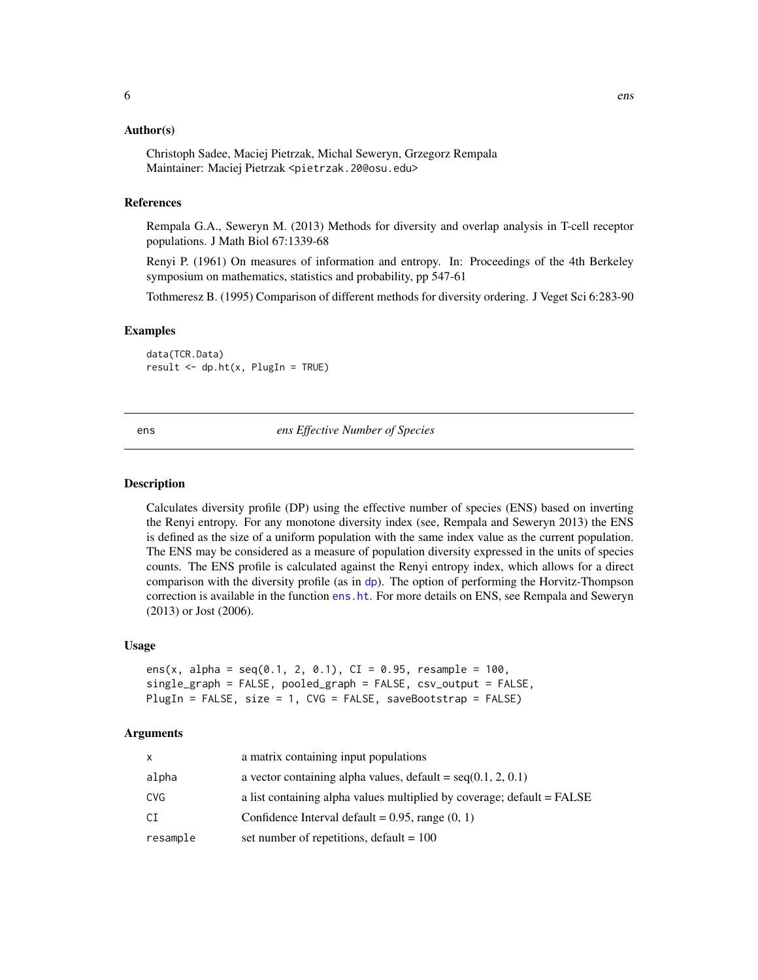#### <span id="page-5-0"></span>Author(s)

Christoph Sadee, Maciej Pietrzak, Michal Seweryn, Grzegorz Rempala Maintainer: Maciej Pietrzak <pietrzak.20@osu.edu>

#### References

Rempala G.A., Seweryn M. (2013) Methods for diversity and overlap analysis in T-cell receptor populations. J Math Biol 67:1339-68

Renyi P. (1961) On measures of information and entropy. In: Proceedings of the 4th Berkeley symposium on mathematics, statistics and probability, pp 547-61

Tothmeresz B. (1995) Comparison of different methods for diversity ordering. J Veget Sci 6:283-90

#### Examples

data(TCR.Data)  $result \leftarrow dp.ht(x, PlayerIugIn = TRUE)$ 

<span id="page-5-1"></span>ens *ens Effective Number of Species*

#### **Description**

Calculates diversity profile (DP) using the effective number of species (ENS) based on inverting the Renyi entropy. For any monotone diversity index (see, Rempala and Seweryn 2013) the ENS is defined as the size of a uniform population with the same index value as the current population. The ENS may be considered as a measure of population diversity expressed in the units of species counts. The ENS profile is calculated against the Renyi entropy index, which allows for a direct comparison with the diversity profile (as in [dp](#page-2-1)). The option of performing the Horvitz-Thompson correction is available in the function [ens.ht](#page-6-1). For more details on ENS, see Rempala and Seweryn (2013) or Jost (2006).

#### Usage

```
ens(x, alpha = seq(0.1, 2, 0.1), CI = 0.95, resample = 100,
single_graph = FALSE, pooled_graph = FALSE, csv_output = FALSE,
PlugIn = FALSE, size = 1, CVG = FALSE, saveBootstrap = FALSE)
```

| x        | a matrix containing input populations                                  |
|----------|------------------------------------------------------------------------|
| alpha    | a vector containing alpha values, default = $seq(0.1, 2, 0.1)$         |
| CVG      | a list containing alpha values multiplied by coverage; default = FALSE |
| СI       | Confidence Interval default = $0.95$ , range $(0, 1)$                  |
| resample | set number of repetitions, default $= 100$                             |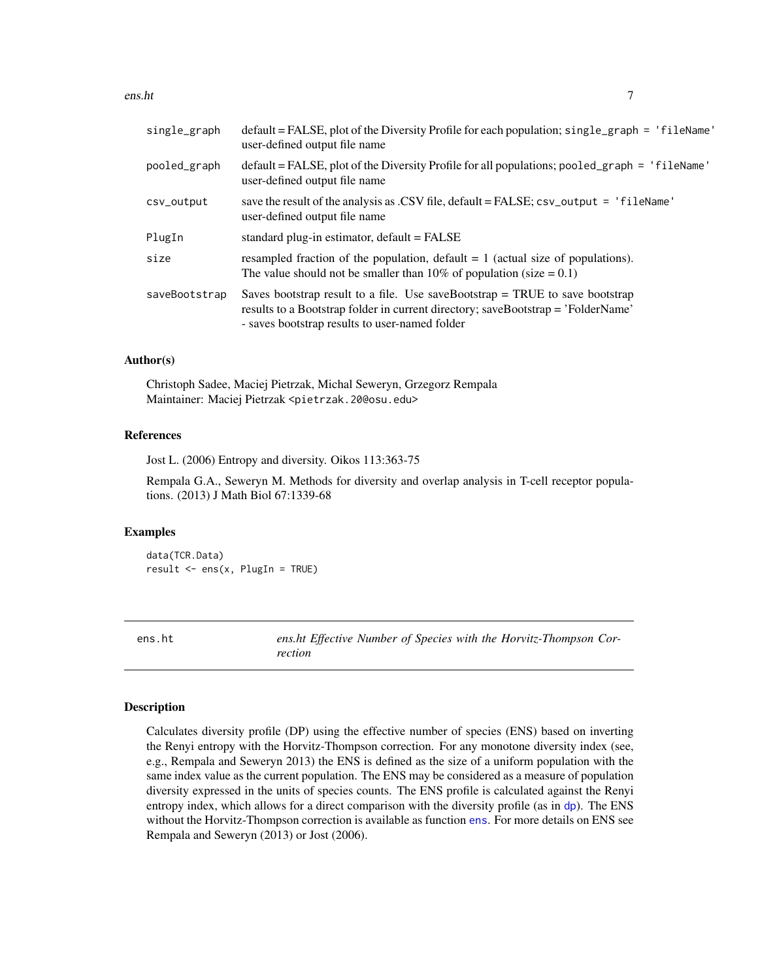#### <span id="page-6-0"></span>ens.ht 7

| $default = FALSE$ , plot of the Diversity Profile for each population; $single\_graph = 'fileName'$<br>user-defined output file name                                                                                 |
|----------------------------------------------------------------------------------------------------------------------------------------------------------------------------------------------------------------------|
| default = FALSE, plot of the Diversity Profile for all populations; pooled_graph = 'fileName'<br>user-defined output file name                                                                                       |
| save the result of the analysis as .CSV file, default = FALSE; csv_output = 'fileName'<br>user-defined output file name                                                                                              |
| standard plug-in estimator, $default = FALSE$                                                                                                                                                                        |
| resampled fraction of the population, default $= 1$ (actual size of populations).<br>The value should not be smaller than 10% of population (size $= 0.1$ )                                                          |
| Saves bootstrap result to a file. Use saveBootstrap $=$ TRUE to save bootstrap<br>results to a Bootstrap folder in current directory; saveBootstrap = 'FolderName'<br>- saves bootstrap results to user-named folder |
|                                                                                                                                                                                                                      |

#### Author(s)

Christoph Sadee, Maciej Pietrzak, Michal Seweryn, Grzegorz Rempala Maintainer: Maciej Pietrzak <pietrzak.20@osu.edu>

#### References

Jost L. (2006) Entropy and diversity. Oikos 113:363-75

Rempala G.A., Seweryn M. Methods for diversity and overlap analysis in T-cell receptor populations. (2013) J Math Biol 67:1339-68

#### Examples

data(TCR.Data) result <- ens(x, PlugIn = TRUE)

<span id="page-6-1"></span>ens.ht *ens.ht Effective Number of Species with the Horvitz-Thompson Correction*

#### **Description**

Calculates diversity profile (DP) using the effective number of species (ENS) based on inverting the Renyi entropy with the Horvitz-Thompson correction. For any monotone diversity index (see, e.g., Rempala and Seweryn 2013) the ENS is defined as the size of a uniform population with the same index value as the current population. The ENS may be considered as a measure of population diversity expressed in the units of species counts. The ENS profile is calculated against the Renyi entropy index, which allows for a direct comparison with the diversity profile (as in [dp](#page-2-1)). The ENS without the Horvitz-Thompson correction is available as function [ens](#page-5-1). For more details on ENS see Rempala and Seweryn (2013) or Jost (2006).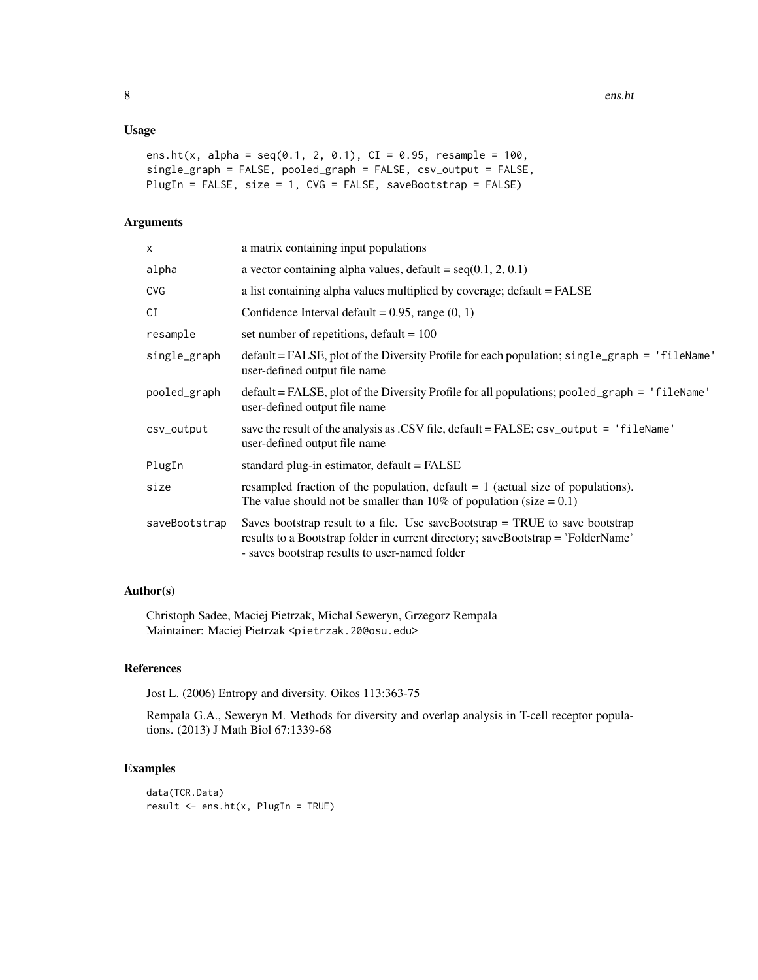#### Usage

```
ens.ht(x, alpha = seq(0.1, 2, 0.1), CI = 0.95, resample = 100,
single_graph = FALSE, pooled_graph = FALSE, csv_output = FALSE,
PlugIn = FALSE, size = 1, CVG = FALSE, saveBootstrap = FALSE)
```
#### Arguments

| X             | a matrix containing input populations                                                                                                                                                                                |
|---------------|----------------------------------------------------------------------------------------------------------------------------------------------------------------------------------------------------------------------|
| alpha         | a vector containing alpha values, $\text{default} = \text{seq}(0.1, 2, 0.1)$                                                                                                                                         |
| CVG           | a list containing alpha values multiplied by coverage; default = FALSE                                                                                                                                               |
| СI            | Confidence Interval default = $0.95$ , range $(0, 1)$                                                                                                                                                                |
| resample      | set number of repetitions, default = $100$                                                                                                                                                                           |
| single_graph  | $default = FALSE, plot of the Diversity Profile for each population; single-graph = 'fileName'$<br>user-defined output file name                                                                                     |
| pooled_graph  | $default = FALSE$ , plot of the Diversity Profile for all populations; pooled_graph = $'fileName'$<br>user-defined output file name                                                                                  |
| csv_output    | save the result of the analysis as .CSV file, default = FALSE; csv_output = 'fileName'<br>user-defined output file name                                                                                              |
| PlugIn        | standard plug-in estimator, default = FALSE                                                                                                                                                                          |
| size          | resampled fraction of the population, default $= 1$ (actual size of populations).<br>The value should not be smaller than 10% of population (size $= 0.1$ )                                                          |
| saveBootstrap | Saves bootstrap result to a file. Use saveBootstrap $=$ TRUE to save bootstrap<br>results to a Bootstrap folder in current directory; saveBootstrap = 'FolderName'<br>- saves bootstrap results to user-named folder |
|               |                                                                                                                                                                                                                      |

#### Author(s)

Christoph Sadee, Maciej Pietrzak, Michal Seweryn, Grzegorz Rempala Maintainer: Maciej Pietrzak <pietrzak.20@osu.edu>

#### References

Jost L. (2006) Entropy and diversity. Oikos 113:363-75

Rempala G.A., Seweryn M. Methods for diversity and overlap analysis in T-cell receptor populations. (2013) J Math Biol 67:1339-68

#### Examples

```
data(TCR.Data)
result \leq ens.ht(x, PlugIn = TRUE)
```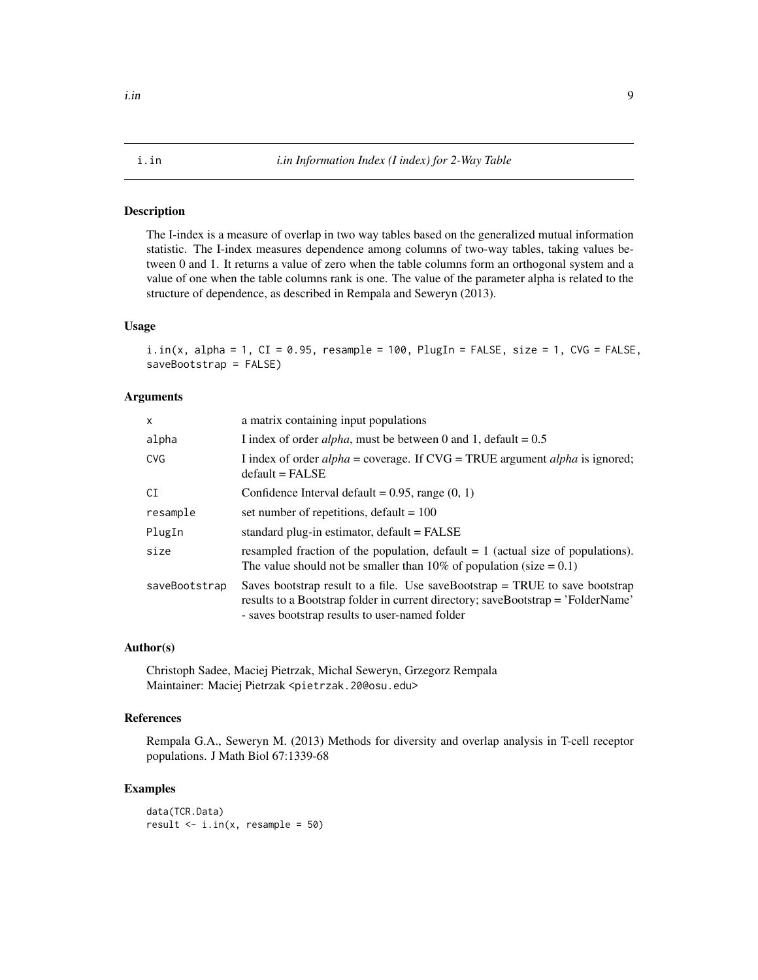<span id="page-8-1"></span><span id="page-8-0"></span>The I-index is a measure of overlap in two way tables based on the generalized mutual information statistic. The I-index measures dependence among columns of two-way tables, taking values between 0 and 1. It returns a value of zero when the table columns form an orthogonal system and a value of one when the table columns rank is one. The value of the parameter alpha is related to the structure of dependence, as described in Rempala and Seweryn (2013).

#### Usage

```
i.in(x, alpha = 1, CI = 0.95, resample = 100, PlugIn = FALSE, size = 1, CVG = FALSE,
saveBootstrap = FALSE)
```
#### Arguments

| $\mathsf{x}$  | a matrix containing input populations                                                                                                                                                                                |
|---------------|----------------------------------------------------------------------------------------------------------------------------------------------------------------------------------------------------------------------|
| alpha         | I index of order <i>alpha</i> , must be between 0 and 1, default = $0.5$                                                                                                                                             |
| <b>CVG</b>    | I index of order $alpha =$ coverage. If $CVG = TRUE$ argument $alpha$ is ignored;<br>$default = FALSE$                                                                                                               |
| CI            | Confidence Interval default = $0.95$ , range $(0, 1)$                                                                                                                                                                |
| resample      | set number of repetitions, default $= 100$                                                                                                                                                                           |
| PlugIn        | standard plug-in estimator, default = FALSE                                                                                                                                                                          |
| size          | resampled fraction of the population, default $= 1$ (actual size of populations).<br>The value should not be smaller than 10% of population (size $= 0.1$ )                                                          |
| saveBootstrap | Saves bootstrap result to a file. Use saveBootstrap $=$ TRUE to save bootstrap<br>results to a Bootstrap folder in current directory; saveBootstrap = 'FolderName'<br>- saves bootstrap results to user-named folder |

#### Author(s)

Christoph Sadee, Maciej Pietrzak, Michal Seweryn, Grzegorz Rempala Maintainer: Maciej Pietrzak <pietrzak.20@osu.edu>

#### References

Rempala G.A., Seweryn M. (2013) Methods for diversity and overlap analysis in T-cell receptor populations. J Math Biol 67:1339-68

#### Examples

data(TCR.Data) result  $\le$  i.in(x, resample = 50)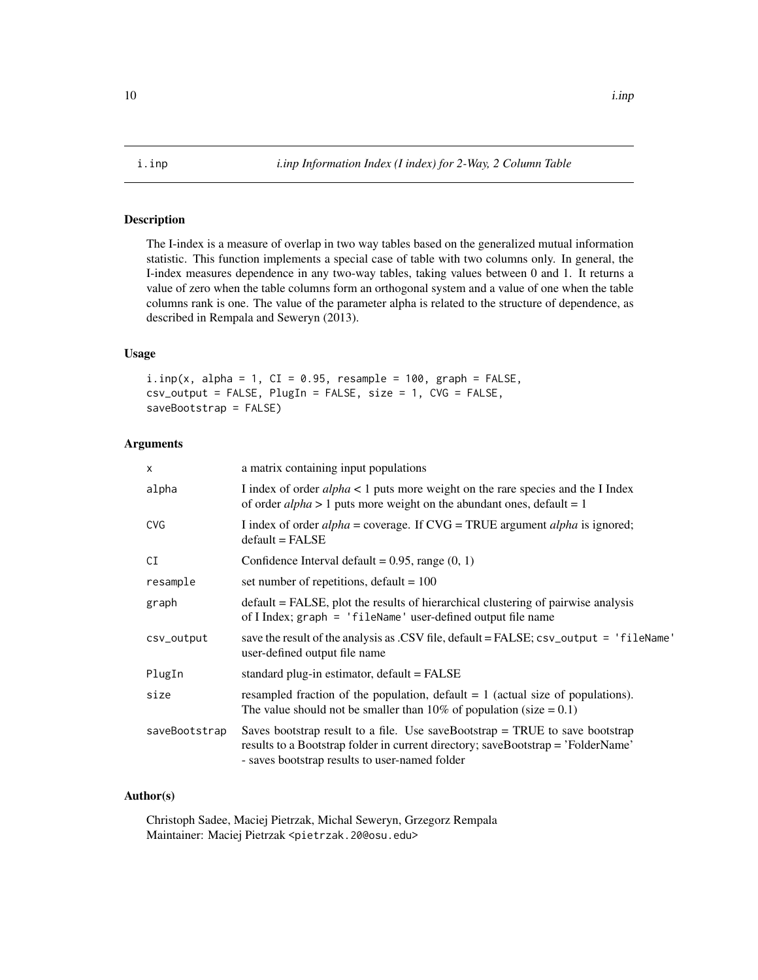<span id="page-9-1"></span><span id="page-9-0"></span>

The I-index is a measure of overlap in two way tables based on the generalized mutual information statistic. This function implements a special case of table with two columns only. In general, the I-index measures dependence in any two-way tables, taking values between 0 and 1. It returns a value of zero when the table columns form an orthogonal system and a value of one when the table columns rank is one. The value of the parameter alpha is related to the structure of dependence, as described in Rempala and Seweryn (2013).

### Usage

 $i.$ inp(x, alpha = 1, CI = 0.95, resample = 100, graph = FALSE, csv\_output = FALSE, PlugIn = FALSE, size = 1, CVG = FALSE, saveBootstrap = FALSE)

#### Arguments

| $\mathsf{x}$  | a matrix containing input populations                                                                                                                                                                                |
|---------------|----------------------------------------------------------------------------------------------------------------------------------------------------------------------------------------------------------------------|
| alpha         | I index of order $alpha < 1$ puts more weight on the rare species and the I Index<br>of order <i>alpha</i> > 1 puts more weight on the abundant ones, default = 1                                                    |
| <b>CVG</b>    | I index of order $alpha =$ coverage. If $CVG = TRUE$ argument $alpha$ is ignored;<br>$default = FALSE$                                                                                                               |
| CI            | Confidence Interval default = $0.95$ , range $(0, 1)$                                                                                                                                                                |
| resample      | set number of repetitions, default = $100$                                                                                                                                                                           |
| graph         | default = FALSE, plot the results of hierarchical clustering of pairwise analysis<br>of I Index; graph = 'fileName' user-defined output file name                                                                    |
| csv_output    | save the result of the analysis as .CSV file, $default = FALSE$ ; $csv_output = 'fileName'$<br>user-defined output file name                                                                                         |
| PlugIn        | standard plug-in estimator, default = FALSE                                                                                                                                                                          |
| size          | resampled fraction of the population, default $= 1$ (actual size of populations).<br>The value should not be smaller than 10% of population (size $= 0.1$ )                                                          |
| saveBootstrap | Saves bootstrap result to a file. Use saveBootstrap $=$ TRUE to save bootstrap<br>results to a Bootstrap folder in current directory; saveBootstrap = 'FolderName'<br>- saves bootstrap results to user-named folder |
|               |                                                                                                                                                                                                                      |

#### Author(s)

Christoph Sadee, Maciej Pietrzak, Michal Seweryn, Grzegorz Rempala Maintainer: Maciej Pietrzak <pietrzak.20@osu.edu>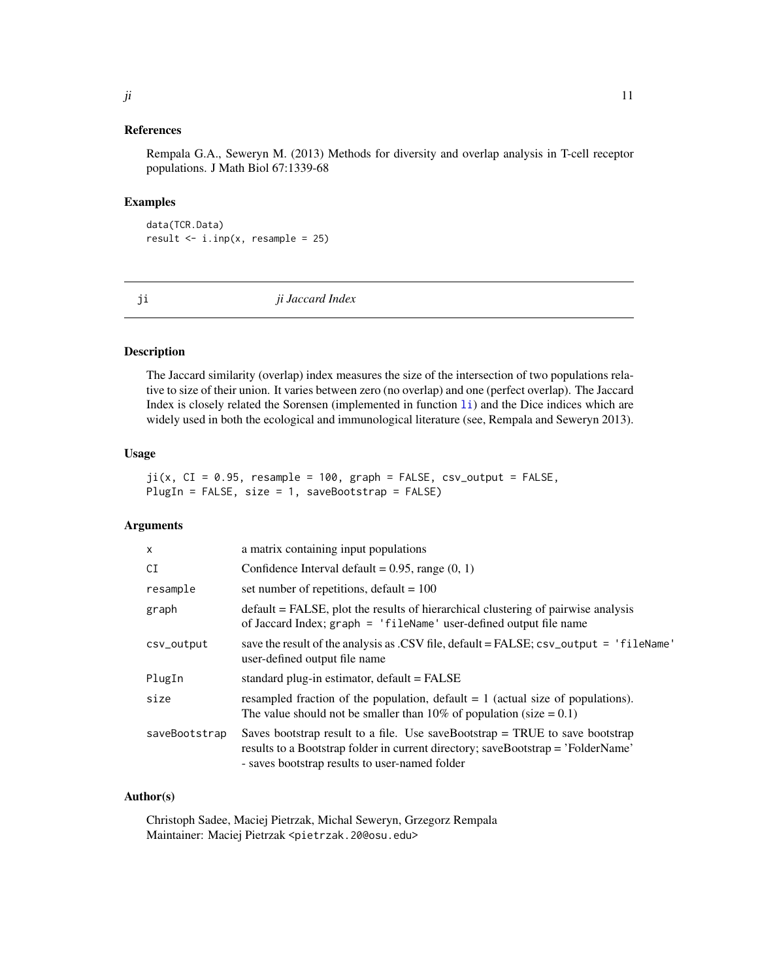<span id="page-10-0"></span>Rempala G.A., Seweryn M. (2013) Methods for diversity and overlap analysis in T-cell receptor populations. J Math Biol 67:1339-68

#### Examples

data(TCR.Data) result  $\leq i$ . inp(x, resample = 25)

<span id="page-10-1"></span>ji *ji Jaccard Index*

#### Description

The Jaccard similarity (overlap) index measures the size of the intersection of two populations relative to size of their union. It varies between zero (no overlap) and one (perfect overlap). The Jaccard Index is closely related the Sorensen (implemented in function [li](#page-11-1)) and the Dice indices which are widely used in both the ecological and immunological literature (see, Rempala and Seweryn 2013).

#### Usage

 $ji(x, CI = 0.95, resample = 100, graph = FALSE, csv_output = FALSE,$ PlugIn = FALSE, size = 1, saveBootstrap = FALSE)

#### Arguments

| $\times$      | a matrix containing input populations                                                                                                                                                                                |
|---------------|----------------------------------------------------------------------------------------------------------------------------------------------------------------------------------------------------------------------|
| CI            | Confidence Interval default = $0.95$ , range $(0, 1)$                                                                                                                                                                |
| resample      | set number of repetitions, default = $100$                                                                                                                                                                           |
| graph         | default = FALSE, plot the results of hierarchical clustering of pairwise analysis<br>of Jaccard Index; graph = 'fileName' user-defined output file name                                                              |
| csv_output    | save the result of the analysis as .CSV file, default = FALSE; csv_output = 'fileName'<br>user-defined output file name                                                                                              |
| PlugIn        | standard plug-in estimator, $default = FALSE$                                                                                                                                                                        |
| size          | resampled fraction of the population, default $= 1$ (actual size of populations).<br>The value should not be smaller than 10% of population (size $= 0.1$ )                                                          |
| saveBootstrap | Saves bootstrap result to a file. Use saveBootstrap $=$ TRUE to save bootstrap<br>results to a Bootstrap folder in current directory; saveBootstrap = 'FolderName'<br>- saves bootstrap results to user-named folder |

#### Author(s)

Christoph Sadee, Maciej Pietrzak, Michal Seweryn, Grzegorz Rempala Maintainer: Maciej Pietrzak <pietrzak.20@osu.edu>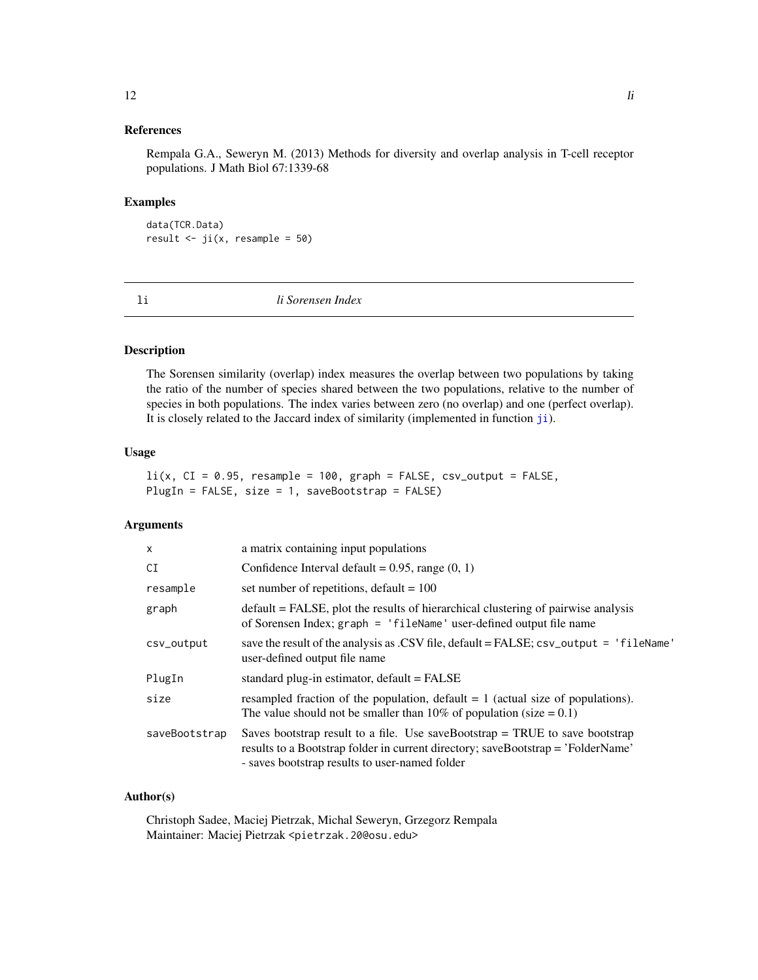<span id="page-11-0"></span>Rempala G.A., Seweryn M. (2013) Methods for diversity and overlap analysis in T-cell receptor populations. J Math Biol 67:1339-68

#### Examples

data(TCR.Data) result  $\le$  ji(x, resample = 50)

<span id="page-11-1"></span>li *li Sorensen Index*

#### Description

The Sorensen similarity (overlap) index measures the overlap between two populations by taking the ratio of the number of species shared between the two populations, relative to the number of species in both populations. The index varies between zero (no overlap) and one (perfect overlap). It is closely related to the Jaccard index of similarity (implemented in function [ji](#page-10-1)).

#### Usage

 $li(x, CI = 0.95, resample = 100, graph = FALSE, csv_output = FALSE,$ PlugIn = FALSE, size = 1, saveBootstrap = FALSE)

#### Arguments

| X             | a matrix containing input populations                                                                                                                                                                                |
|---------------|----------------------------------------------------------------------------------------------------------------------------------------------------------------------------------------------------------------------|
| CI            | Confidence Interval default = $0.95$ , range $(0, 1)$                                                                                                                                                                |
| resample      | set number of repetitions, default = $100$                                                                                                                                                                           |
| graph         | default = FALSE, plot the results of hierarchical clustering of pairwise analysis<br>of Sorensen Index; graph = 'fileName' user-defined output file name                                                             |
| csv_output    | save the result of the analysis as .CSV file, default = FALSE; csv_output = 'fileName'<br>user-defined output file name                                                                                              |
| PlugIn        | standard plug-in estimator, default = FALSE                                                                                                                                                                          |
| size          | resampled fraction of the population, default $= 1$ (actual size of populations).<br>The value should not be smaller than 10% of population (size $= 0.1$ )                                                          |
| saveBootstrap | Saves bootstrap result to a file. Use saveBootstrap $=$ TRUE to save bootstrap<br>results to a Bootstrap folder in current directory; saveBootstrap = 'FolderName'<br>- saves bootstrap results to user-named folder |

#### Author(s)

Christoph Sadee, Maciej Pietrzak, Michal Seweryn, Grzegorz Rempala Maintainer: Maciej Pietrzak <pietrzak.20@osu.edu>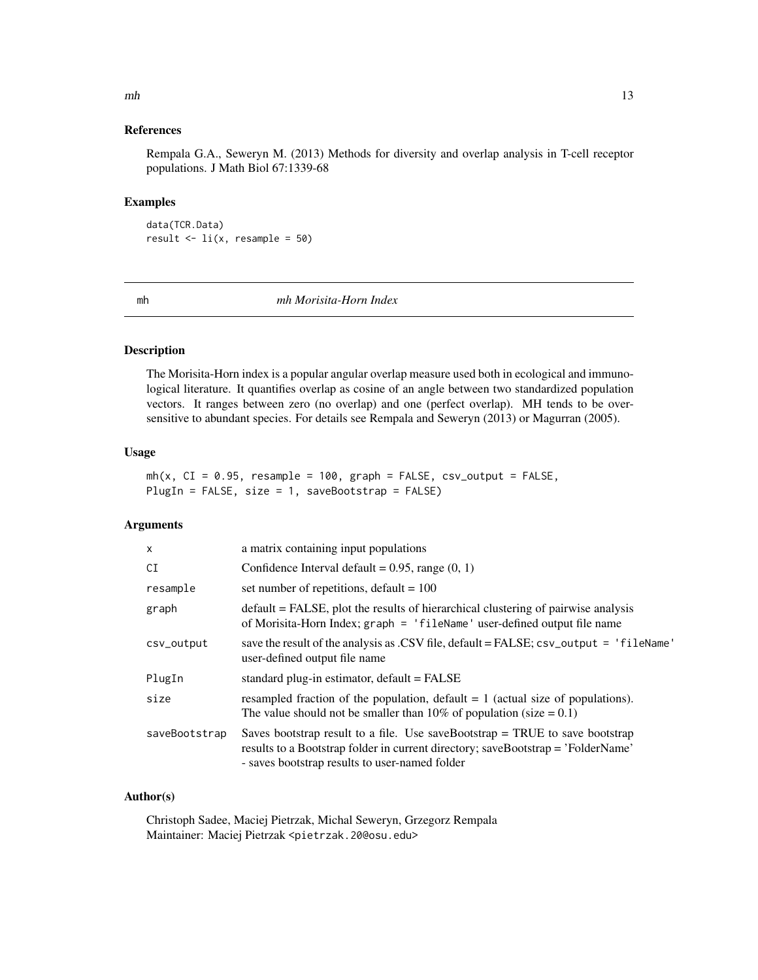Rempala G.A., Seweryn M. (2013) Methods for diversity and overlap analysis in T-cell receptor populations. J Math Biol 67:1339-68

#### Examples

data(TCR.Data) result  $\le$  li(x, resample = 50)

<span id="page-12-1"></span>mh *mh Morisita-Horn Index*

#### Description

The Morisita-Horn index is a popular angular overlap measure used both in ecological and immunological literature. It quantifies overlap as cosine of an angle between two standardized population vectors. It ranges between zero (no overlap) and one (perfect overlap). MH tends to be oversensitive to abundant species. For details see Rempala and Seweryn (2013) or Magurran (2005).

#### Usage

```
mh(x, CI = 0.95, resample = 100, graph = FALSE, csv_output = FALSE,PlugIn = FALSE, size = 1, saveBootstrap = FALSE)
```
#### Arguments

| $\times$      | a matrix containing input populations                                                                                                                                                                                |  |
|---------------|----------------------------------------------------------------------------------------------------------------------------------------------------------------------------------------------------------------------|--|
| CI            | Confidence Interval default = $0.95$ , range $(0, 1)$                                                                                                                                                                |  |
| resample      | set number of repetitions, default = $100$                                                                                                                                                                           |  |
| graph         | default = FALSE, plot the results of hierarchical clustering of pairwise analysis<br>of Morisita-Horn Index; graph = 'fileName' user-defined output file name                                                        |  |
| csv_output    | save the result of the analysis as .CSV file, $default = FALSE$ ; $csv_output = 'fileName'$<br>user-defined output file name                                                                                         |  |
| PlugIn        | standard plug-in estimator, $default = FALSE$                                                                                                                                                                        |  |
| size          | resampled fraction of the population, default $= 1$ (actual size of populations).<br>The value should not be smaller than 10% of population (size $= 0.1$ )                                                          |  |
| saveBootstrap | Saves bootstrap result to a file. Use saveBootstrap $=$ TRUE to save bootstrap<br>results to a Bootstrap folder in current directory; saveBootstrap = 'FolderName'<br>- saves bootstrap results to user-named folder |  |

#### Author(s)

Christoph Sadee, Maciej Pietrzak, Michal Seweryn, Grzegorz Rempala Maintainer: Maciej Pietrzak <pietrzak.20@osu.edu>

<span id="page-12-0"></span> $m h$  13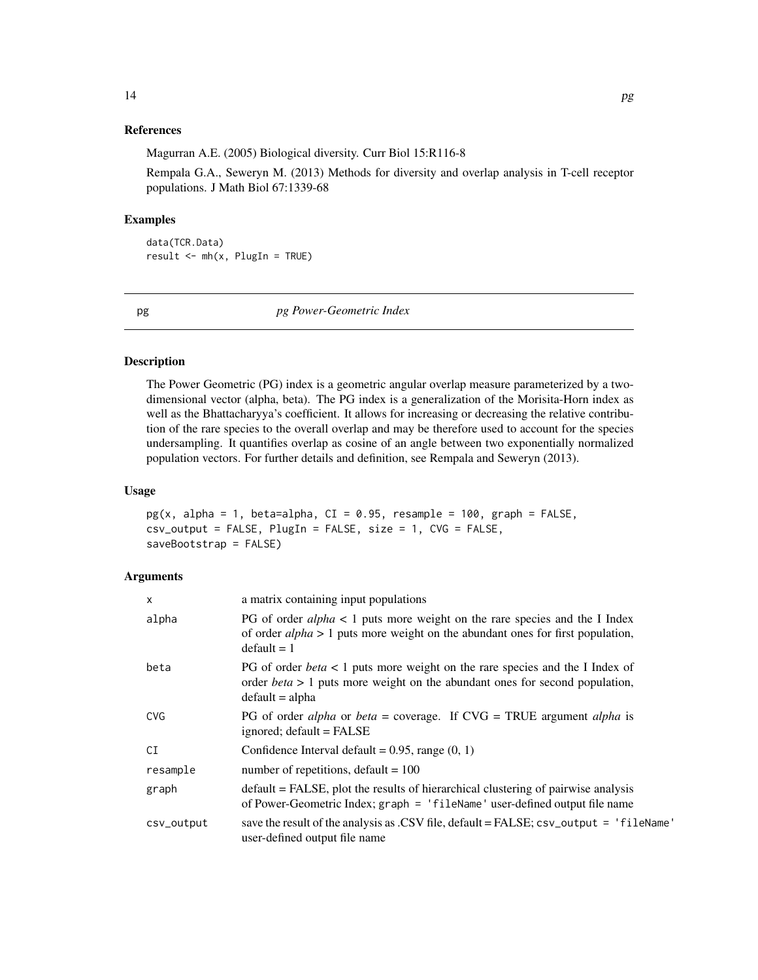<span id="page-13-0"></span>Magurran A.E. (2005) Biological diversity. Curr Biol 15:R116-8

Rempala G.A., Seweryn M. (2013) Methods for diversity and overlap analysis in T-cell receptor populations. J Math Biol 67:1339-68

#### Examples

data(TCR.Data) result <- mh(x, PlugIn = TRUE)

<span id="page-13-1"></span>pg *pg Power-Geometric Index*

#### Description

The Power Geometric (PG) index is a geometric angular overlap measure parameterized by a twodimensional vector (alpha, beta). The PG index is a generalization of the Morisita-Horn index as well as the Bhattacharyya's coefficient. It allows for increasing or decreasing the relative contribution of the rare species to the overall overlap and may be therefore used to account for the species undersampling. It quantifies overlap as cosine of an angle between two exponentially normalized population vectors. For further details and definition, see Rempala and Seweryn (2013).

#### Usage

```
pg(x, alpha = 1, beta=alpha, CI = 0.95, resample = 100, graph = FALSE,\text{csv\_output} = \text{FALSE}, \text{ PlugIn} = \text{FALSE}, \text{ size} = 1, \text{ CVG} = \text{FALSE},saveBootstrap = FALSE)
```

| $\mathsf{x}$ | a matrix containing input populations                                                                                                                                                                |  |
|--------------|------------------------------------------------------------------------------------------------------------------------------------------------------------------------------------------------------|--|
| alpha        | PG of order $alpha < 1$ puts more weight on the rare species and the I Index<br>of order $alpha > 1$ puts more weight on the abundant ones for first population,<br>$default = 1$                    |  |
| beta         | PG of order <i>beta</i> $\lt$ 1 puts more weight on the rare species and the I Index of<br>order <i>beta</i> $> 1$ puts more weight on the abundant ones for second population,<br>$default = alpha$ |  |
| <b>CVG</b>   | PG of order <i>alpha</i> or <i>beta</i> = coverage. If $CVG = TRUE$ argument <i>alpha</i> is<br>ignored; default = FALSE                                                                             |  |
| CI           | Confidence Interval default = $0.95$ , range $(0, 1)$                                                                                                                                                |  |
| resample     | number of repetitions, default = $100$                                                                                                                                                               |  |
| graph        | default = FALSE, plot the results of hierarchical clustering of pairwise analysis<br>of Power-Geometric Index; graph = 'fileName' user-defined output file name                                      |  |
| csv_output   | save the result of the analysis as .CSV file, $default = FALSE$ ; $csv_output = 'fileName'$<br>user-defined output file name                                                                         |  |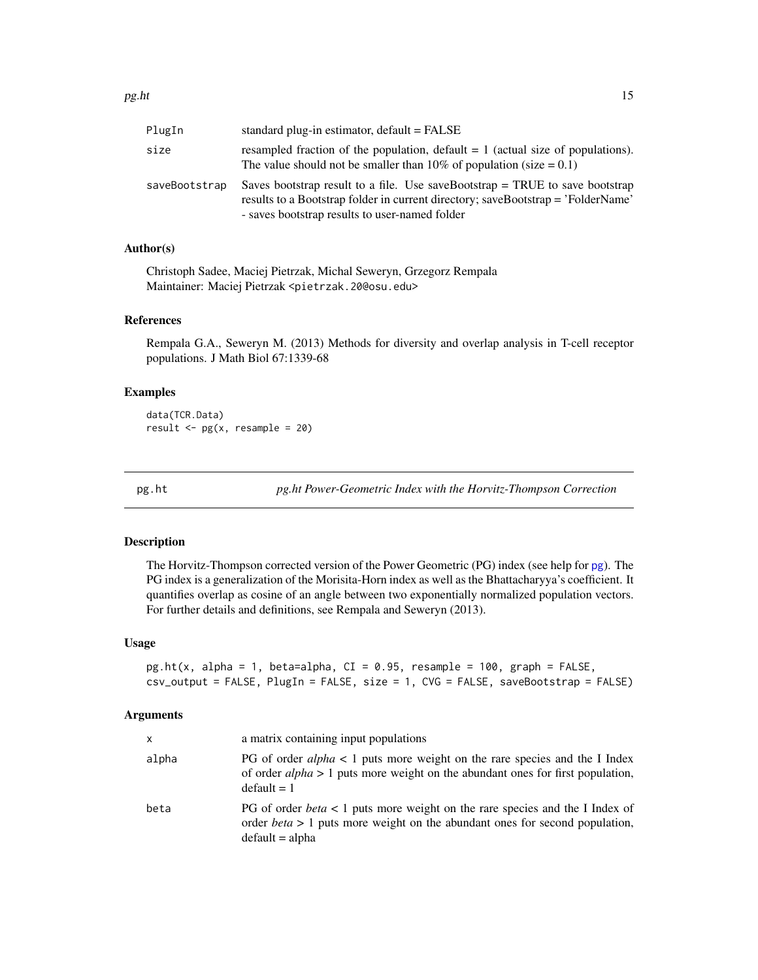<span id="page-14-0"></span>

| PlugIn        | standard plug-in estimator, $default = FALSE$                                                                                                                                                                        |
|---------------|----------------------------------------------------------------------------------------------------------------------------------------------------------------------------------------------------------------------|
| size          | resampled fraction of the population, default $= 1$ (actual size of populations).<br>The value should not be smaller than 10% of population (size $= 0.1$ )                                                          |
| saveBootstrap | Saves bootstrap result to a file. Use saveBootstrap $=$ TRUE to save bootstrap<br>results to a Bootstrap folder in current directory; saveBootstrap = 'FolderName'<br>- saves bootstrap results to user-named folder |

#### Author(s)

Christoph Sadee, Maciej Pietrzak, Michal Seweryn, Grzegorz Rempala Maintainer: Maciej Pietrzak <pietrzak.20@osu.edu>

#### References

Rempala G.A., Seweryn M. (2013) Methods for diversity and overlap analysis in T-cell receptor populations. J Math Biol 67:1339-68

#### Examples

data(TCR.Data) result  $\leq -pg(x,$  resample = 20)

<span id="page-14-1"></span>

pg.ht *pg.ht Power-Geometric Index with the Horvitz-Thompson Correction*

#### Description

The Horvitz-Thompson corrected version of the Power Geometric (PG) index (see help for [pg](#page-13-1)). The PG index is a generalization of the Morisita-Horn index as well as the Bhattacharyya's coefficient. It quantifies overlap as cosine of an angle between two exponentially normalized population vectors. For further details and definitions, see Rempala and Seweryn (2013).

#### Usage

```
pg.ht(x, alpha = 1, beta=alpha, CI = 0.95, resample = 100, graph = FALSE,
csv_output = FALSE, PlugIn = FALSE, size = 1, CVG = FALSE, saveBootstrap = FALSE)
```

| x     | a matrix containing input populations                                                                                                                                                            |
|-------|--------------------------------------------------------------------------------------------------------------------------------------------------------------------------------------------------|
| alpha | PG of order $alpha < 1$ puts more weight on the rare species and the I Index<br>of order $alpha > 1$ puts more weight on the abundant ones for first population,<br>$default = 1$                |
| beta  | PG of order <i>beta</i> < 1 puts more weight on the rare species and the I Index of<br>order <i>beta</i> $> 1$ puts more weight on the abundant ones for second population,<br>$default = alpha$ |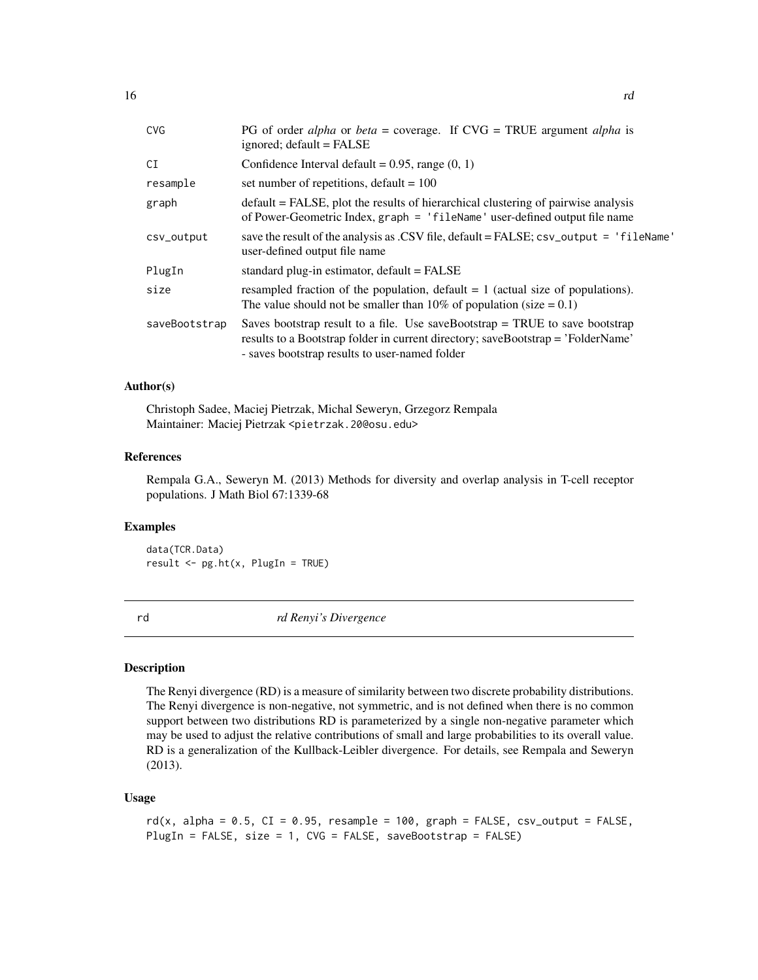<span id="page-15-0"></span>

| <b>CVG</b>    | PG of order <i>alpha</i> or <i>beta</i> = coverage. If $CVG = TRUE$ argument <i>alpha</i> is<br>ignored; default = FALSE                                                                                             |  |  |
|---------------|----------------------------------------------------------------------------------------------------------------------------------------------------------------------------------------------------------------------|--|--|
| CI            | Confidence Interval default = $0.95$ , range $(0, 1)$                                                                                                                                                                |  |  |
| resample      | set number of repetitions, default $= 100$                                                                                                                                                                           |  |  |
| graph         | default = FALSE, plot the results of hierarchical clustering of pairwise analysis<br>of Power-Geometric Index, graph = 'fileName' user-defined output file name                                                      |  |  |
| csv_output    | save the result of the analysis as .CSV file, default = FALSE; csv_output = 'fileName'<br>user-defined output file name                                                                                              |  |  |
| PlugIn        | standard plug-in estimator, default = FALSE                                                                                                                                                                          |  |  |
| size          | resampled fraction of the population, default $= 1$ (actual size of populations).<br>The value should not be smaller than 10% of population (size $= 0.1$ )                                                          |  |  |
| saveBootstrap | Saves bootstrap result to a file. Use saveBootstrap $=$ TRUE to save bootstrap<br>results to a Bootstrap folder in current directory; saveBootstrap = 'FolderName'<br>- saves bootstrap results to user-named folder |  |  |

#### Author(s)

Christoph Sadee, Maciej Pietrzak, Michal Seweryn, Grzegorz Rempala Maintainer: Maciej Pietrzak <pietrzak.20@osu.edu>

#### References

Rempala G.A., Seweryn M. (2013) Methods for diversity and overlap analysis in T-cell receptor populations. J Math Biol 67:1339-68

#### Examples

data(TCR.Data) result <- pg.ht(x, PlugIn = TRUE)

<span id="page-15-1"></span>

rd *rd Renyi's Divergence*

#### Description

The Renyi divergence (RD) is a measure of similarity between two discrete probability distributions. The Renyi divergence is non-negative, not symmetric, and is not defined when there is no common support between two distributions RD is parameterized by a single non-negative parameter which may be used to adjust the relative contributions of small and large probabilities to its overall value. RD is a generalization of the Kullback-Leibler divergence. For details, see Rempala and Seweryn (2013).

#### Usage

```
rd(x, alpha = 0.5, CI = 0.95, resample = 100, graph = FALSE, csv_output = FALSE,
PlugIn = FALSE, size = 1, CVG = FALSE, saveBootstrap = FALSE)
```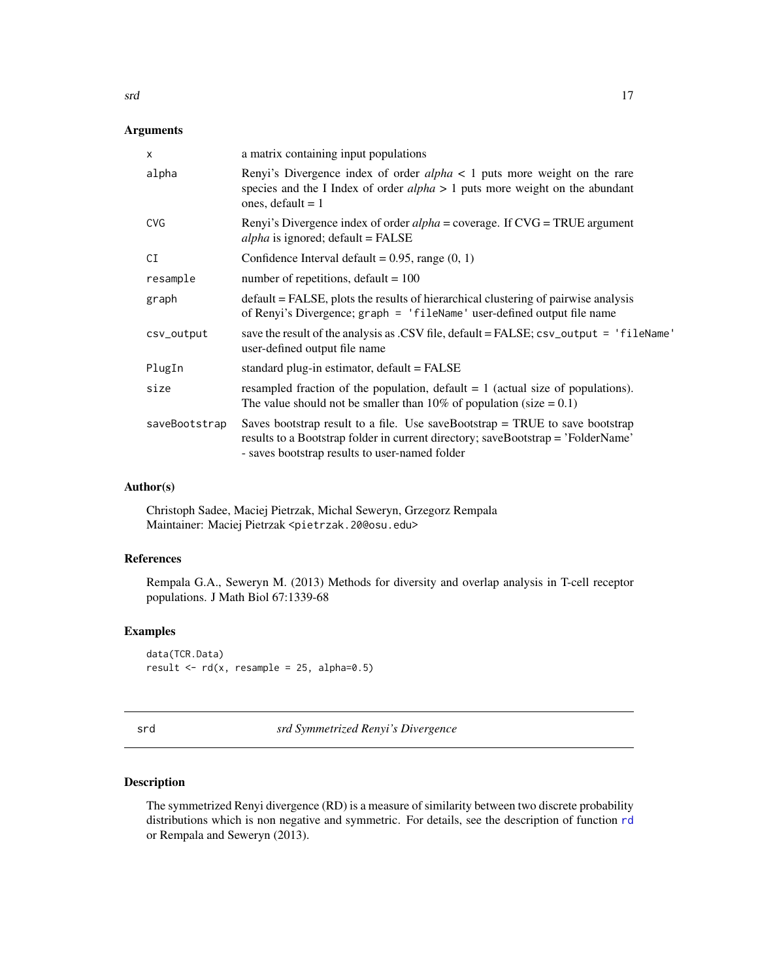### <span id="page-16-0"></span>Arguments

| $\times$      | a matrix containing input populations                                                                                                                                                                                |  |
|---------------|----------------------------------------------------------------------------------------------------------------------------------------------------------------------------------------------------------------------|--|
| alpha         | Renyi's Divergence index of order $alpha < 1$ puts more weight on the rare<br>species and the I Index of order $alpha > 1$ puts more weight on the abundant<br>ones, default $= 1$                                   |  |
| <b>CVG</b>    | Renyi's Divergence index of order <i>alpha</i> = coverage. If CVG = TRUE argument<br>$alpha$ is ignored; default = FALSE                                                                                             |  |
| CI            | Confidence Interval default = $0.95$ , range $(0, 1)$                                                                                                                                                                |  |
| resample      | number of repetitions, default = $100$                                                                                                                                                                               |  |
| graph         | default = FALSE, plots the results of hierarchical clustering of pairwise analysis<br>of Renyi's Divergence; graph = 'fileName' user-defined output file name                                                        |  |
| csv_output    | save the result of the analysis as .CSV file, default = FALSE; csv_output = 'fileName'<br>user-defined output file name                                                                                              |  |
| PlugIn        | standard plug-in estimator, default = FALSE                                                                                                                                                                          |  |
| size          | resampled fraction of the population, default $= 1$ (actual size of populations).<br>The value should not be smaller than 10% of population (size $= 0.1$ )                                                          |  |
| saveBootstrap | Saves bootstrap result to a file. Use saveBootstrap $=$ TRUE to save bootstrap<br>results to a Bootstrap folder in current directory; saveBootstrap = 'FolderName'<br>- saves bootstrap results to user-named folder |  |

#### Author(s)

Christoph Sadee, Maciej Pietrzak, Michal Seweryn, Grzegorz Rempala Maintainer: Maciej Pietrzak <pietrzak.20@osu.edu>

#### References

Rempala G.A., Seweryn M. (2013) Methods for diversity and overlap analysis in T-cell receptor populations. J Math Biol 67:1339-68

#### Examples

data(TCR.Data) result  $\leq$  rd(x, resample = 25, alpha=0.5)

<span id="page-16-1"></span>

| ×<br>۰,<br>$\sim$ | ۰. |  |
|-------------------|----|--|
|                   |    |  |

srd *srd Symmetrized Renyi's Divergence*

#### Description

The symmetrized Renyi divergence (RD) is a measure of similarity between two discrete probability distributions which is non negative and symmetric. For details, see the description of function [rd](#page-15-1) or Rempala and Seweryn (2013).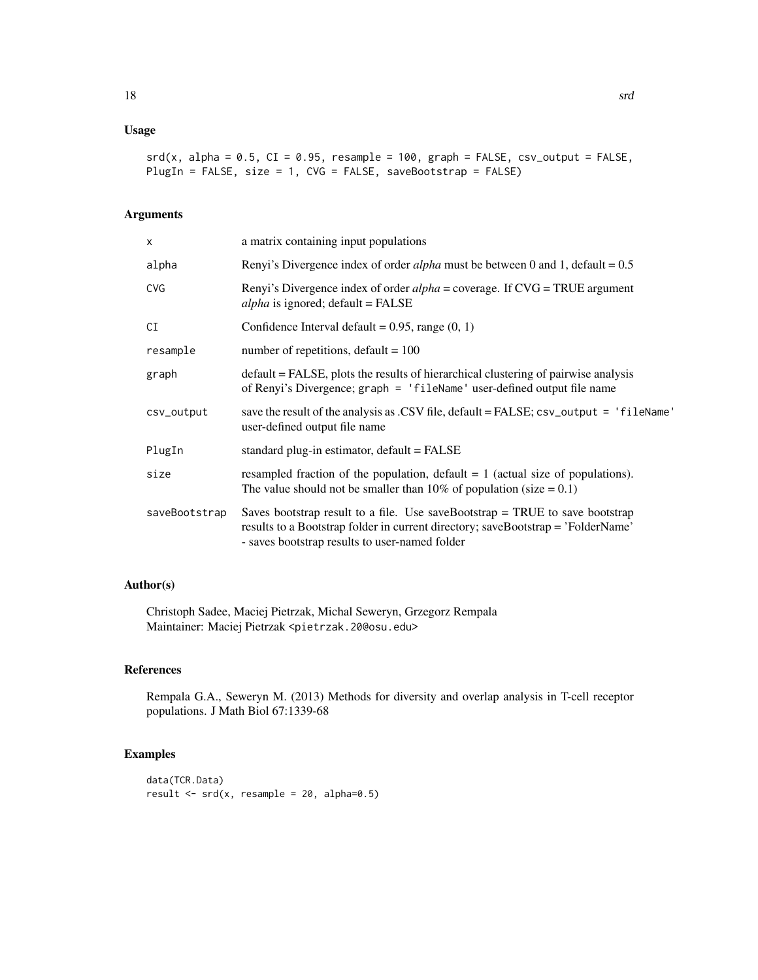#### Usage

```
srd(x, alpha = 0.5, CI = 0.95, resample = 100, graph = FALSE, csv_output = FALSE,PlugIn = FALSE, size = 1, CVG = FALSE, saveBootstrap = FALSE)
```
#### Arguments

| X             | a matrix containing input populations                                                                                                                                                                                |  |
|---------------|----------------------------------------------------------------------------------------------------------------------------------------------------------------------------------------------------------------------|--|
| alpha         | Renyi's Divergence index of order <i>alpha</i> must be between 0 and 1, default = $0.5$                                                                                                                              |  |
| <b>CVG</b>    | Renyi's Divergence index of order $alpha = \text{coverage}$ . If $\text{CVG} = \text{TRUE}$ argument<br>$alpha$ is ignored; default = FALSE                                                                          |  |
| CI            | Confidence Interval default = $0.95$ , range $(0, 1)$                                                                                                                                                                |  |
| resample      | number of repetitions, default = $100$                                                                                                                                                                               |  |
| graph         | default = FALSE, plots the results of hierarchical clustering of pairwise analysis<br>of Renyi's Divergence; graph = 'fileName' user-defined output file name                                                        |  |
| csv_output    | save the result of the analysis as .CSV file, default = FALSE; csv_output = 'fileName'<br>user-defined output file name                                                                                              |  |
| PlugIn        | standard plug-in estimator, $default = FALSE$                                                                                                                                                                        |  |
| size          | resampled fraction of the population, default $= 1$ (actual size of populations).<br>The value should not be smaller than 10% of population (size $= 0.1$ )                                                          |  |
| saveBootstrap | Saves bootstrap result to a file. Use saveBootstrap $=$ TRUE to save bootstrap<br>results to a Bootstrap folder in current directory; saveBootstrap = 'FolderName'<br>- saves bootstrap results to user-named folder |  |

#### Author(s)

Christoph Sadee, Maciej Pietrzak, Michal Seweryn, Grzegorz Rempala Maintainer: Maciej Pietrzak <pietrzak.20@osu.edu>

#### References

Rempala G.A., Seweryn M. (2013) Methods for diversity and overlap analysis in T-cell receptor populations. J Math Biol 67:1339-68

#### Examples

```
data(TCR.Data)
result \le srd(x, resample = 20, alpha=0.5)
```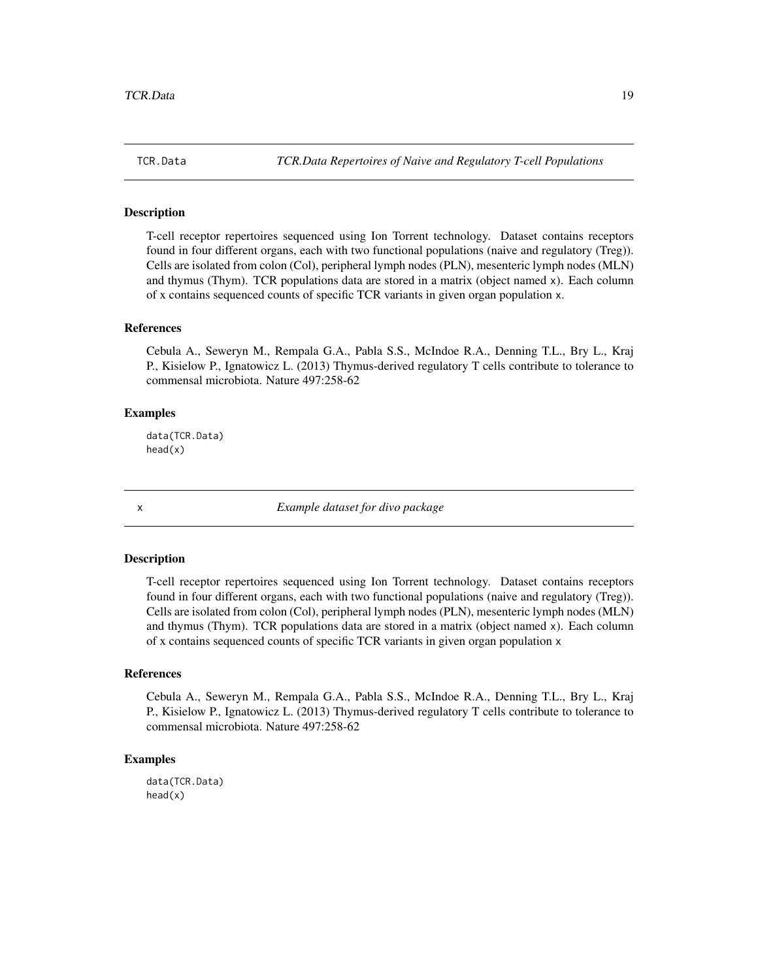<span id="page-18-0"></span>

T-cell receptor repertoires sequenced using Ion Torrent technology. Dataset contains receptors found in four different organs, each with two functional populations (naive and regulatory (Treg)). Cells are isolated from colon (Col), peripheral lymph nodes (PLN), mesenteric lymph nodes (MLN) and thymus (Thym). TCR populations data are stored in a matrix (object named x). Each column of x contains sequenced counts of specific TCR variants in given organ population x.

#### References

Cebula A., Seweryn M., Rempala G.A., Pabla S.S., McIndoe R.A., Denning T.L., Bry L., Kraj P., Kisielow P., Ignatowicz L. (2013) Thymus-derived regulatory T cells contribute to tolerance to commensal microbiota. Nature 497:258-62

#### Examples

data(TCR.Data) head(x)

x *Example dataset for divo package*

#### Description

T-cell receptor repertoires sequenced using Ion Torrent technology. Dataset contains receptors found in four different organs, each with two functional populations (naive and regulatory (Treg)). Cells are isolated from colon (Col), peripheral lymph nodes (PLN), mesenteric lymph nodes (MLN) and thymus (Thym). TCR populations data are stored in a matrix (object named x). Each column of x contains sequenced counts of specific TCR variants in given organ population x

#### References

Cebula A., Seweryn M., Rempala G.A., Pabla S.S., McIndoe R.A., Denning T.L., Bry L., Kraj P., Kisielow P., Ignatowicz L. (2013) Thymus-derived regulatory T cells contribute to tolerance to commensal microbiota. Nature 497:258-62

#### Examples

data(TCR.Data) head(x)